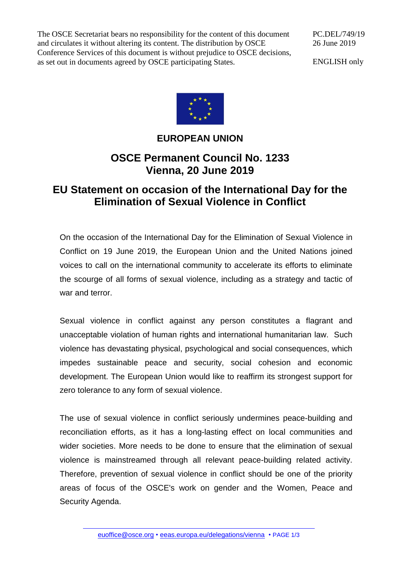The OSCE Secretariat bears no responsibility for the content of this document and circulates it without altering its content. The distribution by OSCE Conference Services of this document is without prejudice to OSCE decisions, as set out in documents agreed by OSCE participating States.

PC.DEL/749/19 26 June 2019

ENGLISH only



## **EUROPEAN UNION**

## **OSCE Permanent Council No. 1233 Vienna, 20 June 2019**

## **EU Statement on occasion of the International Day for the Elimination of Sexual Violence in Conflict**

On the occasion of the International Day for the Elimination of Sexual Violence in Conflict on 19 June 2019, the European Union and the United Nations joined voices to call on the international community to accelerate its efforts to eliminate the scourge of all forms of sexual violence, including as a strategy and tactic of war and terror.

Sexual violence in conflict against any person constitutes a flagrant and unacceptable violation of human rights and international humanitarian law. Such violence has devastating physical, psychological and social consequences, which impedes sustainable peace and security, social cohesion and economic development. The European Union would like to reaffirm its strongest support for zero tolerance to any form of sexual violence.

The use of sexual violence in conflict seriously undermines peace-building and reconciliation efforts, as it has a long-lasting effect on local communities and wider societies. More needs to be done to ensure that the elimination of sexual violence is mainstreamed through all relevant peace-building related activity. Therefore, prevention of sexual violence in conflict should be one of the priority areas of focus of the OSCE's work on gender and the Women, Peace and Security Agenda.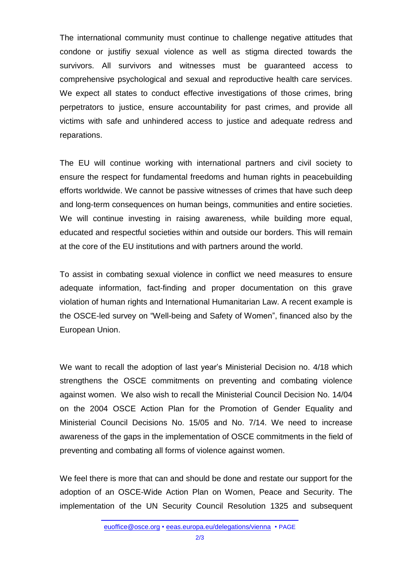The international community must continue to challenge negative attitudes that condone or justifiy sexual violence as well as stigma directed towards the survivors. All survivors and witnesses must be guaranteed access to comprehensive psychological and sexual and reproductive health care services. We expect all states to conduct effective investigations of those crimes, bring perpetrators to justice, ensure accountability for past crimes, and provide all victims with safe and unhindered access to justice and adequate redress and reparations.

The EU will continue working with international partners and civil society to ensure the respect for fundamental freedoms and human rights in peacebuilding efforts worldwide. We cannot be passive witnesses of crimes that have such deep and long-term consequences on human beings, communities and entire societies. We will continue investing in raising awareness, while building more equal, educated and respectful societies within and outside our borders. This will remain at the core of the EU institutions and with partners around the world.

To assist in combating sexual violence in conflict we need measures to ensure adequate information, fact-finding and proper documentation on this grave violation of human rights and International Humanitarian Law. A recent example is the OSCE-led survey on "Well-being and Safety of Women", financed also by the European Union.

We want to recall the adoption of last year's Ministerial Decision no. 4/18 which strengthens the OSCE commitments on preventing and combating violence against women. We also wish to recall the Ministerial Council Decision No. 14/04 on the 2004 OSCE Action Plan for the Promotion of Gender Equality and Ministerial Council Decisions No. 15/05 and No. 7/14. We need to increase awareness of the gaps in the implementation of OSCE commitments in the field of preventing and combating all forms of violence against women.

We feel there is more that can and should be done and restate our support for the adoption of an OSCE-Wide Action Plan on Women, Peace and Security. The implementation of the UN Security Council Resolution 1325 and subsequent